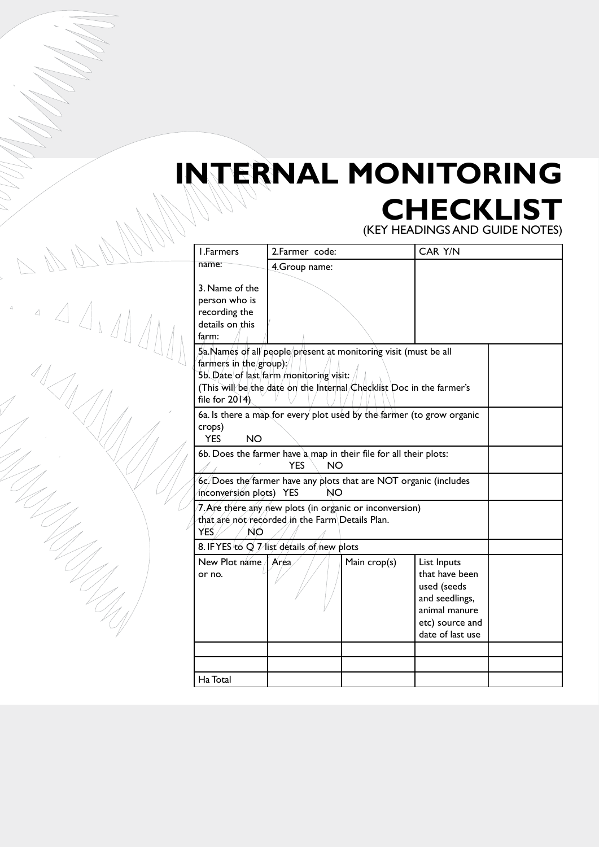## **INTERNAL MONITORING Checklist**

(key headings and guide notes)

| I.Farmers                                                                                                                                                                                                                        | 2.Farmer code: |              | CAR Y/N                                                                                                                |  |  |  |  |
|----------------------------------------------------------------------------------------------------------------------------------------------------------------------------------------------------------------------------------|----------------|--------------|------------------------------------------------------------------------------------------------------------------------|--|--|--|--|
| name:                                                                                                                                                                                                                            | 4. Group name: |              |                                                                                                                        |  |  |  |  |
| 3. Name of the<br>person who is<br>recording the<br>details on this<br>farm:                                                                                                                                                     |                |              |                                                                                                                        |  |  |  |  |
| 5a.Names of all people/present at monitoring visit (must be all<br>farmers in the group);<br>5b. Date of last farm monitoring visit:<br>(This will be the date on the Internal Checklist Doc in the farmer's<br>file for $20(4)$ |                |              |                                                                                                                        |  |  |  |  |
| 6a. Is there a map for every plot used by the farmer (to grow organic<br>crops)<br><b>YES</b><br><b>NO</b>                                                                                                                       |                |              |                                                                                                                        |  |  |  |  |
| 6b. Does the farmer have a map in their file for all their plots:                                                                                                                                                                |                |              |                                                                                                                        |  |  |  |  |
| $6c/D$ oes the farmer have any plots that are NOT organic (includes<br>inconversion plots) YES                                                                                                                                   |                |              |                                                                                                                        |  |  |  |  |
| 7. Are there any new plots (in organic or inconversion)<br>that are not/recorded in the Farm\Details Plan.<br>YES.<br><b>NO</b>                                                                                                  |                |              |                                                                                                                        |  |  |  |  |
| 8. IF YES to $Q \nightharpoondown Z$ list details of new plots                                                                                                                                                                   |                |              |                                                                                                                        |  |  |  |  |
| New Plot name / Area<br>or no.                                                                                                                                                                                                   |                | Main crop(s) | List Inputs<br>that have been<br>used (seeds<br>and seedlings,<br>animal manure<br>etc) source and<br>date of last use |  |  |  |  |
|                                                                                                                                                                                                                                  |                |              |                                                                                                                        |  |  |  |  |
|                                                                                                                                                                                                                                  |                |              |                                                                                                                        |  |  |  |  |
| Ha Total                                                                                                                                                                                                                         |                |              |                                                                                                                        |  |  |  |  |

4 4 4 4 4 4 4  $\begin{array}{c}\n\Delta\n\end{array}$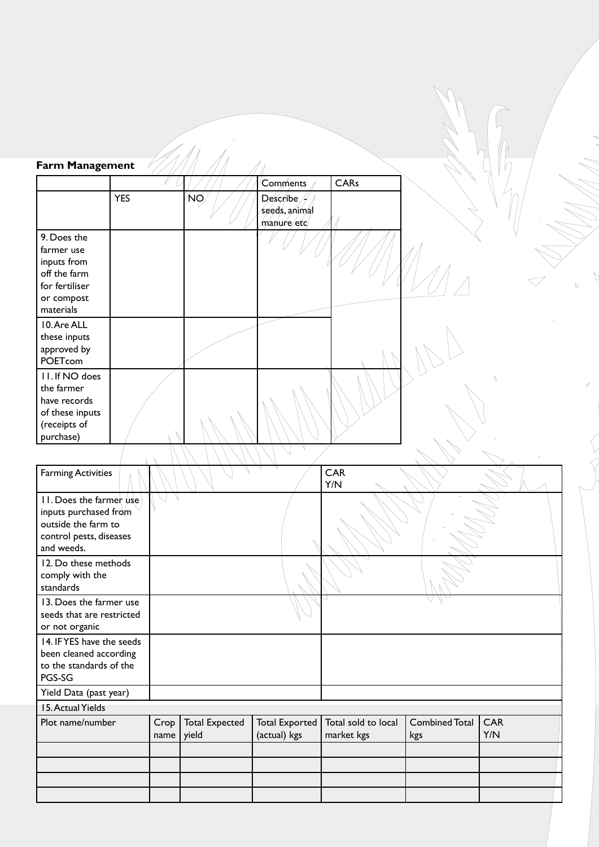| Farm Management                                                                                                  |            |                    |                       |                                          |                                   |                       |                   |
|------------------------------------------------------------------------------------------------------------------|------------|--------------------|-----------------------|------------------------------------------|-----------------------------------|-----------------------|-------------------|
|                                                                                                                  |            |                    |                       | Comments                                 | CARs                              |                       |                   |
|                                                                                                                  | <b>YES</b> |                    | ŃØ,                   | Describe<br>seeds, animal<br>manure/etc/ |                                   |                       |                   |
| 9. Does the<br>farmer use<br>inputs from<br>off the farm<br>for fertiliser<br>or compost<br>materials            |            |                    |                       |                                          |                                   |                       |                   |
| 10. Are ALL<br>these inputs<br>approved by<br>POETcom                                                            |            |                    |                       |                                          |                                   |                       |                   |
| II. If NO does<br>the farmer<br>have records<br>of these inputs<br>(receipts of<br>purchase)                     |            |                    |                       |                                          |                                   |                       | $\sqrt{2}$        |
| <b>Farming Activities</b>                                                                                        |            |                    |                       |                                          | CAR                               |                       |                   |
|                                                                                                                  |            |                    |                       |                                          | Y/N                               |                       |                   |
| 11. Does the farmer use<br>inputs purchased from<br>outside the farm to<br>control pests, diseases<br>and weeds. |            |                    |                       |                                          |                                   |                       |                   |
| 12. Do these methods<br>comply with the<br>standards                                                             |            |                    |                       |                                          |                                   |                       |                   |
| 13. Does the farmer use<br>seeds that are restricted<br>or not organic                                           |            |                    |                       |                                          |                                   |                       |                   |
| 14. IF YES have the seeds<br>been cleaned according<br>to the standards of the<br>PGS-SG                         |            |                    |                       |                                          |                                   |                       |                   |
| Yield Data (past year)                                                                                           |            |                    |                       |                                          |                                   |                       |                   |
| 15. Actual Yields                                                                                                |            |                    |                       |                                          |                                   |                       |                   |
| Plot name/number                                                                                                 |            | Crop<br>name yield | <b>Total Expected</b> | <b>Total Exported</b><br>(actual) kgs    | Total sold to local<br>market kgs | Combined Total<br>kgs | <b>CAR</b><br>Y/N |
|                                                                                                                  |            |                    |                       |                                          |                                   |                       |                   |
|                                                                                                                  |            |                    |                       |                                          |                                   |                       |                   |
|                                                                                                                  |            |                    |                       |                                          |                                   |                       |                   |